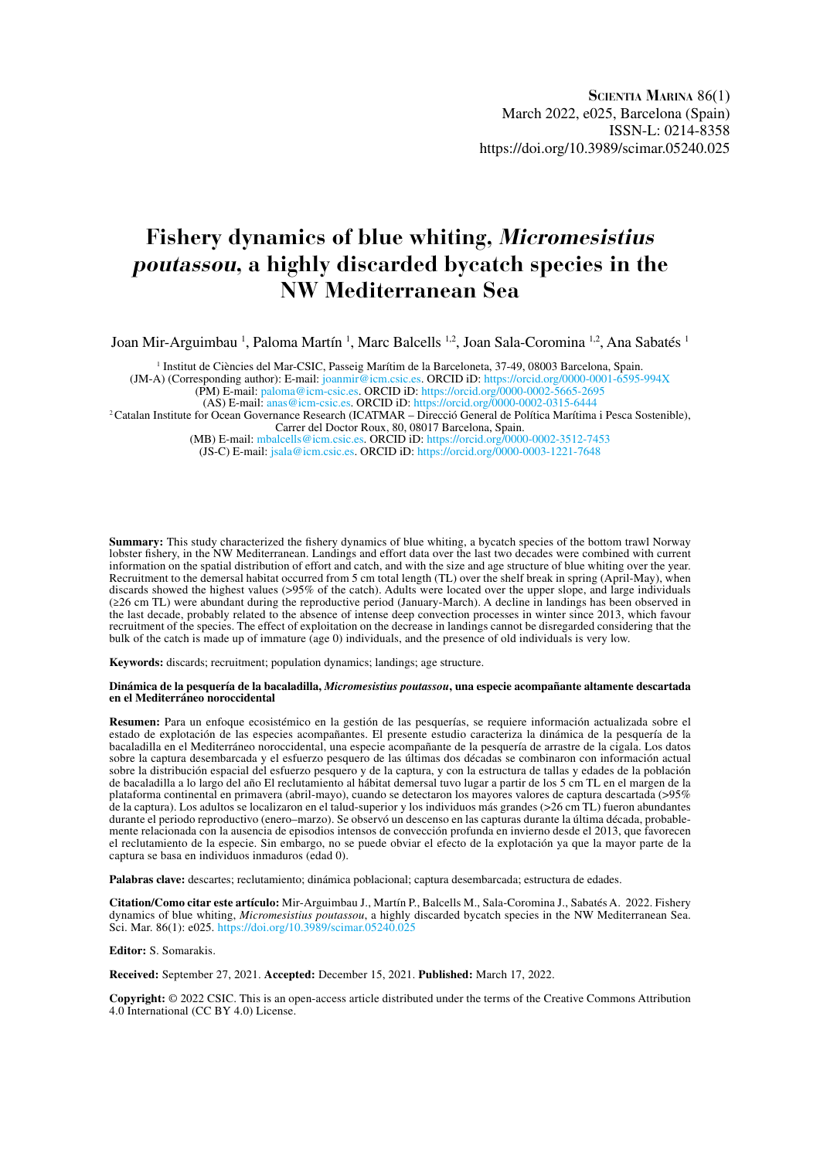# **Fishery dynamics of blue whiting, Micromesistius poutassou, a highly discarded bycatch species in the NW Mediterranean Sea**

Joan Mir-Arguimbau <sup>1</sup>, Paloma Martín <sup>1</sup>, Marc Balcells <sup>1,2</sup>, Joan Sala-Coromina <sup>1,2</sup>, Ana Sabatés <sup>1</sup>

<sup>1</sup> Institut de Ciències del Mar-CSIC, Passeig Marítim de la Barceloneta, 37-49, 08003 Barcelona, Spain. (JM-A) (Corresponding author): E-mail: [joanmir@icm.csic.es.](mailto:joanmir%40icm.csic.es?subject=) ORCID iD: <https://orcid.org/0000-0001-6595-994X> (PM) E-mail: [paloma@icm-csic.es](mailto:paloma%40icm-csic.es?subject=). ORCID iD:<https://orcid.org/0000-0002-5665-2695> (AS) E-mail: [anas@icm-csic.es.](mailto:anas%40icm-csic.es?subject=) ORCID iD:<https://orcid.org/0000-0002-0315-6444>

2Catalan Institute for Ocean Governance Research (ICATMAR – Direcció General de Política Marítima i Pesca Sostenible), Carrer del Doctor Roux, 80, 08017 Barcelona, Spain.

(MB) E-mail: [mbalcells@icm.csic.es](mailto:mbalcells@icm.csic.es). ORCID iD:<https://orcid.org/0000-0002-3512-7453> (JS-C) E-mail: [jsala@icm.csic.es](mailto:jsala@icm.csic.es). ORCID iD:<https://orcid.org/0000-0003-1221-7648>

**Summary:** This study characterized the fishery dynamics of blue whiting, a bycatch species of the bottom trawl Norway lobster fishery, in the NW Mediterranean. Landings and effort data over the last two decades were combined with current information on the spatial distribution of effort and catch, and with the size and age structure of blue whiting over the year. Recruitment to the demersal habitat occurred from 5 cm total length (TL) over the shelf break in spring (April-May), when discards showed the highest values (>95% of the catch). Adults were located over the upper slope, and large individuals (≥26 cm TL) were abundant during the reproductive period (January-March). A decline in landings has been observed in the last decade, probably related to the absence of intense deep convection processes in winter since 2013, which favour recruitment of the species. The effect of exploitation on the decrease in landings cannot be disregarded considering that the bulk of the catch is made up of immature (age 0) individuals, and the presence of old individuals is very low.

**Keywords:** discards; recruitment; population dynamics; landings; age structure.

#### **Dinámica de la pesquería de la bacaladilla,** *Micromesistius poutassou***, una especie acompañante altamente descartada en el Mediterráneo noroccidental**

**Resumen:** Para un enfoque ecosistémico en la gestión de las pesquerías, se requiere información actualizada sobre el estado de explotación de las especies acompañantes. El presente estudio caracteriza la dinámica de la pesquería de la bacaladilla en el Mediterráneo noroccidental, una especie acompañante de la pesquería de arrastre de la cigala. Los datos sobre la captura desembarcada y el esfuerzo pesquero de las últimas dos décadas se combinaron con información actual sobre la distribución espacial del esfuerzo pesquero y de la captura, y con la estructura de tallas y edades de la población de bacaladilla a lo largo del año El reclutamiento al hábitat demersal tuvo lugar a partir de los 5 cm TL en el margen de la plataforma continental en primavera (abril-mayo), cuando se detectaron los mayores valores de captura descartada (>95% de la captura). Los adultos se localizaron en el talud-superior y los individuos más grandes (>26 cm TL) fueron abundantes durante el periodo reproductivo (enero–marzo). Se observó un descenso en las capturas durante la última década, probablemente relacionada con la ausencia de episodios intensos de convección profunda en invierno desde el 2013, que favorecen el reclutamiento de la especie. Sin embargo, no se puede obviar el efecto de la explotación ya que la mayor parte de la captura se basa en individuos inmaduros (edad 0).

**Palabras clave:** descartes; reclutamiento; dinámica poblacional; captura desembarcada; estructura de edades.

**Citation/Como citar este artículo:** Mir-Arguimbau J., Martín P., Balcells M., Sala-Coromina J., Sabatés A. 2022. Fishery dynamics of blue whiting, *Micromesistius poutassou*, a highly discarded bycatch species in the NW Mediterranean Sea. Sci. Mar. 86(1): e025. <https://doi.org/10.3989/scimar.05240.025>

**Editor:** S. Somarakis.

**Received:** September 27, 2021. **Accepted:** December 15, 2021. **Published:** March 17, 2022.

**Copyright:** © 2022 CSIC. This is an open-access article distributed under the terms of the Creative Commons Attribution 4.0 International (CC BY 4.0) License.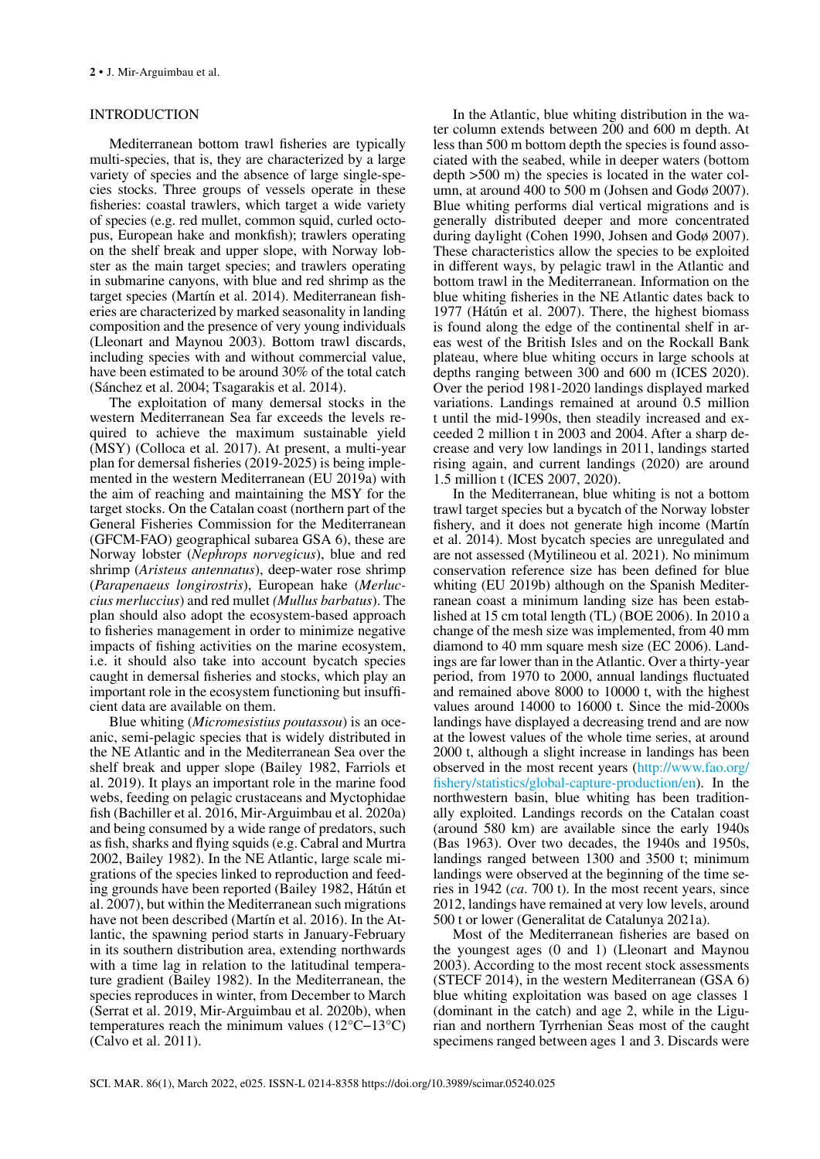# INTRODUCTION

Mediterranean bottom trawl fisheries are typically multi-species, that is, they are characterized by a large variety of species and the absence of large single-species stocks. Three groups of vessels operate in these fisheries: coastal trawlers, which target a wide variety of species (e.g. red mullet, common squid, curled octopus, European hake and monkfish); trawlers operating on the shelf break and upper slope, with Norway lobster as the main target species; and trawlers operating in submarine canyons, with blue and red shrimp as the target species (Martín et al. 2014). Mediterranean fisheries are characterized by marked seasonality in landing composition and the presence of very young individuals (Lleonart and Maynou 2003). Bottom trawl discards, including species with and without commercial value, have been estimated to be around 30% of the total catch (Sánchez et al. 2004; Tsagarakis et al. 2014).

The exploitation of many demersal stocks in the western Mediterranean Sea far exceeds the levels required to achieve the maximum sustainable yield (MSY) (Colloca et al. 2017). At present, a multi-year plan for demersal fisheries (2019-2025) is being implemented in the western Mediterranean (EU 2019a) with the aim of reaching and maintaining the MSY for the target stocks. On the Catalan coast (northern part of the General Fisheries Commission for the Mediterranean (GFCM-FAO) geographical subarea GSA 6), these are Norway lobster (*Nephrops norvegicus*), blue and red shrimp (*Aristeus antennatus*), deep-water rose shrimp (*Parapenaeus longirostris*), European hake (*Merluccius merluccius*) and red mullet *(Mullus barbatus*). The plan should also adopt the ecosystem-based approach to fisheries management in order to minimize negative impacts of fishing activities on the marine ecosystem, i.e. it should also take into account bycatch species caught in demersal fisheries and stocks, which play an important role in the ecosystem functioning but insufficient data are available on them.

Blue whiting (*Micromesistius poutassou*) is an oceanic, semi-pelagic species that is widely distributed in the NE Atlantic and in the Mediterranean Sea over the shelf break and upper slope (Bailey 1982, Farriols et al. 2019). It plays an important role in the marine food webs, feeding on pelagic crustaceans and Myctophidae fish (Bachiller et al. 2016, Mir-Arguimbau et al. 2020a) and being consumed by a wide range of predators, such as fish, sharks and flying squids (e.g. Cabral and Murtra 2002, Bailey 1982). In the NE Atlantic, large scale migrations of the species linked to reproduction and feeding grounds have been reported (Bailey 1982, Hátún et al. 2007), but within the Mediterranean such migrations have not been described (Martín et al. 2016). In the Atlantic, the spawning period starts in January-February in its southern distribution area, extending northwards with a time lag in relation to the latitudinal temperature gradient (Bailey 1982). In the Mediterranean, the species reproduces in winter, from December to March (Serrat et al. 2019, Mir-Arguimbau et al. 2020b), when temperatures reach the minimum values (12°C−13°C) (Calvo et al. 2011).

In the Atlantic, blue whiting distribution in the water column extends between 200 and 600 m depth. At less than 500 m bottom depth the species is found associated with the seabed, while in deeper waters (bottom depth >500 m) the species is located in the water column, at around 400 to 500 m (Johsen and Godø 2007). Blue whiting performs dial vertical migrations and is generally distributed deeper and more concentrated during daylight (Cohen 1990, Johsen and Godø 2007). These characteristics allow the species to be exploited in different ways, by pelagic trawl in the Atlantic and bottom trawl in the Mediterranean. Information on the blue whiting fisheries in the NE Atlantic dates back to 1977 (Hátún et al. 2007). There, the highest biomass is found along the edge of the continental shelf in areas west of the British Isles and on the Rockall Bank plateau, where blue whiting occurs in large schools at depths ranging between 300 and 600 m (ICES 2020). Over the period 1981-2020 landings displayed marked variations. Landings remained at around 0.5 million t until the mid-1990s, then steadily increased and exceeded 2 million t in 2003 and 2004. After a sharp decrease and very low landings in 2011, landings started rising again, and current landings (2020) are around 1.5 million t (ICES 2007, 2020).

In the Mediterranean, blue whiting is not a bottom trawl target species but a bycatch of the Norway lobster fishery, and it does not generate high income (Martín et al. 2014). Most bycatch species are unregulated and are not assessed (Mytilineou et al. 2021). No minimum conservation reference size has been defined for blue whiting (EU 2019b) although on the Spanish Mediterranean coast a minimum landing size has been established at 15 cm total length (TL) (BOE 2006). In 2010 a change of the mesh size was implemented, from 40 mm diamond to 40 mm square mesh size (EC 2006). Landings are far lower than in the Atlantic. Over a thirty-year period, from 1970 to 2000, annual landings fluctuated and remained above 8000 to 10000 t, with the highest values around 14000 to 16000 t. Since the mid-2000s landings have displayed a decreasing trend and are now at the lowest values of the whole time series, at around 2000 t, although a slight increase in landings has been observed in the most recent years ([http://www.fao.org/](http://www.fao.org/fishery/statistics/global-capture-production/en) [fishery/statistics/global-capture-production/en](http://www.fao.org/fishery/statistics/global-capture-production/en)). In the northwestern basin, blue whiting has been traditionally exploited. Landings records on the Catalan coast (around 580 km) are available since the early 1940s (Bas 1963). Over two decades, the 1940s and 1950s, landings ranged between 1300 and 3500 t; minimum landings were observed at the beginning of the time series in 1942 (*ca*. 700 t). In the most recent years, since 2012, landings have remained at very low levels, around 500 t or lower (Generalitat de Catalunya 2021a).

Most of the Mediterranean fisheries are based on the youngest ages (0 and 1) (Lleonart and Maynou 2003). According to the most recent stock assessments (STECF 2014), in the western Mediterranean (GSA 6) blue whiting exploitation was based on age classes 1 (dominant in the catch) and age 2, while in the Ligurian and northern Tyrrhenian Seas most of the caught specimens ranged between ages 1 and 3. Discards were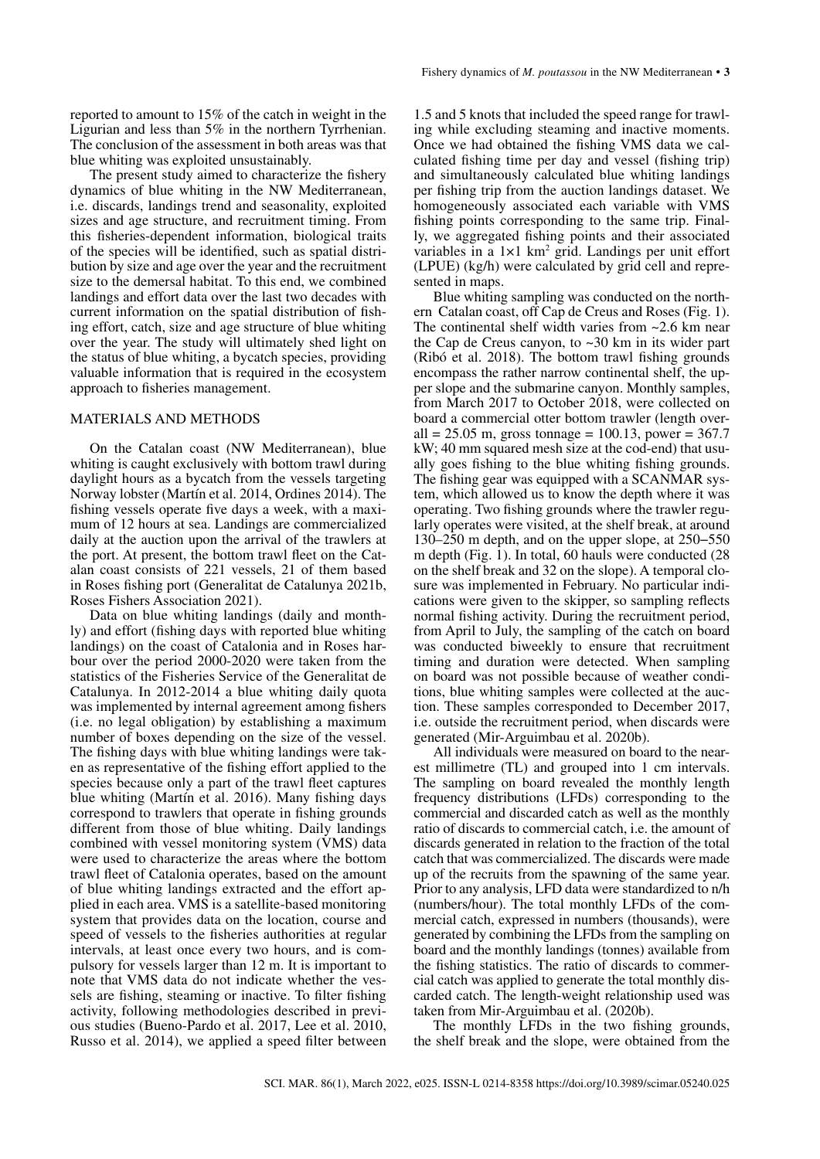The present study aimed to characterize the fishery dynamics of blue whiting in the NW Mediterranean, i.e. discards, landings trend and seasonality, exploited sizes and age structure, and recruitment timing. From this fisheries-dependent information, biological traits of the species will be identified, such as spatial distribution by size and age over the year and the recruitment size to the demersal habitat. To this end, we combined landings and effort data over the last two decades with current information on the spatial distribution of fishing effort, catch, size and age structure of blue whiting over the year. The study will ultimately shed light on the status of blue whiting, a bycatch species, providing valuable information that is required in the ecosystem approach to fisheries management.

## MATERIALS AND METHODS

On the Catalan coast (NW Mediterranean), blue whiting is caught exclusively with bottom trawl during daylight hours as a bycatch from the vessels targeting Norway lobster (Martín et al. 2014, Ordines 2014). The fishing vessels operate five days a week, with a maximum of 12 hours at sea. Landings are commercialized daily at the auction upon the arrival of the trawlers at the port. At present, the bottom trawl fleet on the Catalan coast consists of 221 vessels, 21 of them based in Roses fishing port (Generalitat de Catalunya 2021b, Roses Fishers Association 2021).

Data on blue whiting landings (daily and monthly) and effort (fishing days with reported blue whiting landings) on the coast of Catalonia and in Roses harbour over the period 2000-2020 were taken from the statistics of the Fisheries Service of the Generalitat de Catalunya. In 2012-2014 a blue whiting daily quota was implemented by internal agreement among fishers (i.e. no legal obligation) by establishing a maximum number of boxes depending on the size of the vessel. The fishing days with blue whiting landings were taken as representative of the fishing effort applied to the species because only a part of the trawl fleet captures blue whiting (Martín et al. 2016). Many fishing days correspond to trawlers that operate in fishing grounds different from those of blue whiting. Daily landings combined with vessel monitoring system (VMS) data were used to characterize the areas where the bottom trawl fleet of Catalonia operates, based on the amount of blue whiting landings extracted and the effort applied in each area. VMS is a satellite-based monitoring system that provides data on the location, course and speed of vessels to the fisheries authorities at regular intervals, at least once every two hours, and is compulsory for vessels larger than 12 m. It is important to note that VMS data do not indicate whether the vessels are fishing, steaming or inactive. To filter fishing activity, following methodologies described in previous studies (Bueno-Pardo et al. 2017, Lee et al. 2010, Russo et al. 2014), we applied a speed filter between

1.5 and 5 knots that included the speed range for trawling while excluding steaming and inactive moments. Once we had obtained the fishing VMS data we calculated fishing time per day and vessel (fishing trip) and simultaneously calculated blue whiting landings per fishing trip from the auction landings dataset. We homogeneously associated each variable with VMS fishing points corresponding to the same trip. Finally, we aggregated fishing points and their associated variables in a  $1 \times 1$  km<sup>2</sup> grid. Landings per unit effort (LPUE) (kg/h) were calculated by grid cell and represented in maps.

Blue whiting sampling was conducted on the northern Catalan coast, off Cap de Creus and Roses (Fig. 1). The continental shelf width varies from ~2.6 km near the Cap de Creus canyon, to ~30 km in its wider part (Ribó et al. 2018). The bottom trawl fishing grounds encompass the rather narrow continental shelf, the upper slope and the submarine canyon. Monthly samples, from March 2017 to October 2018, were collected on board a commercial otter bottom trawler (length overall = 25.05 m, gross tonnage = 100.13, power = 367.7 kW; 40 mm squared mesh size at the cod-end) that usually goes fishing to the blue whiting fishing grounds. The fishing gear was equipped with a SCANMAR system, which allowed us to know the depth where it was operating. Two fishing grounds where the trawler regularly operates were visited, at the shelf break, at around 130–250 m depth, and on the upper slope, at 250−550 m depth (Fig. 1). In total, 60 hauls were conducted (28 on the shelf break and 32 on the slope). A temporal closure was implemented in February. No particular indications were given to the skipper, so sampling reflects normal fishing activity. During the recruitment period, from April to July, the sampling of the catch on board was conducted biweekly to ensure that recruitment timing and duration were detected. When sampling on board was not possible because of weather conditions, blue whiting samples were collected at the auction. These samples corresponded to December 2017, i.e. outside the recruitment period, when discards were generated (Mir-Arguimbau et al. 2020b).

All individuals were measured on board to the nearest millimetre (TL) and grouped into 1 cm intervals. The sampling on board revealed the monthly length frequency distributions (LFDs) corresponding to the commercial and discarded catch as well as the monthly ratio of discards to commercial catch, i.e. the amount of discards generated in relation to the fraction of the total catch that was commercialized. The discards were made up of the recruits from the spawning of the same year. Prior to any analysis, LFD data were standardized to n/h (numbers/hour). The total monthly LFDs of the commercial catch, expressed in numbers (thousands), were generated by combining the LFDs from the sampling on board and the monthly landings (tonnes) available from the fishing statistics. The ratio of discards to commercial catch was applied to generate the total monthly discarded catch. The length-weight relationship used was taken from Mir-Arguimbau et al. (2020b).

The monthly LFDs in the two fishing grounds, the shelf break and the slope, were obtained from the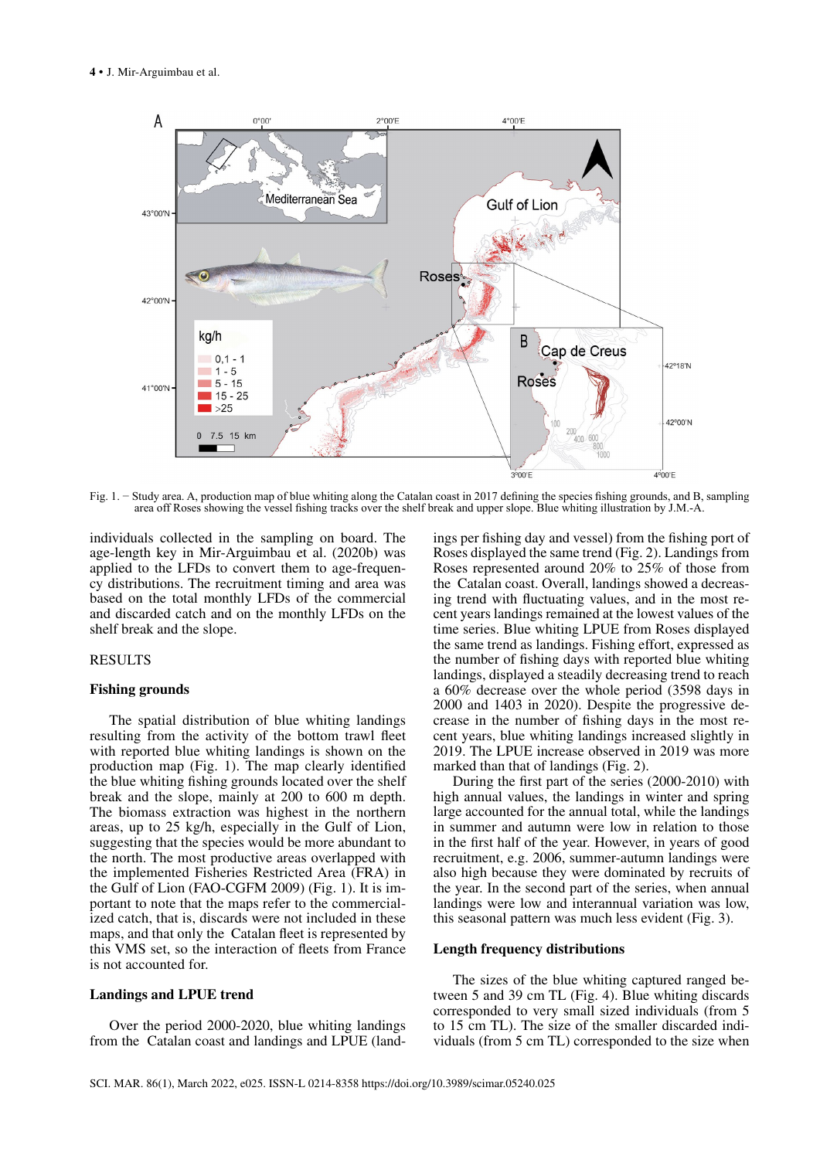

Fig. 1. − Study area. A, production map of blue whiting along the Catalan coast in 2017 defining the species fishing grounds, and B, sampling area off Roses showing the vessel fishing tracks over the shelf break and upper slope. Blue whiting illustration by J.M.-A.

individuals collected in the sampling on board. The age-length key in Mir-Arguimbau et al. (2020b) was applied to the LFDs to convert them to age-frequency distributions. The recruitment timing and area was based on the total monthly LFDs of the commercial and discarded catch and on the monthly LFDs on the shelf break and the slope.

## RESULTS

#### **Fishing grounds**

The spatial distribution of blue whiting landings resulting from the activity of the bottom trawl fleet with reported blue whiting landings is shown on the production map (Fig. 1). The map clearly identified the blue whiting fishing grounds located over the shelf break and the slope, mainly at 200 to 600 m depth. The biomass extraction was highest in the northern areas, up to 25 kg/h, especially in the Gulf of Lion, suggesting that the species would be more abundant to the north. The most productive areas overlapped with the implemented Fisheries Restricted Area (FRA) in the Gulf of Lion (FAO-CGFM 2009) (Fig. 1). It is important to note that the maps refer to the commercialized catch, that is, discards were not included in these maps, and that only the Catalan fleet is represented by this VMS set, so the interaction of fleets from France is not accounted for.

### **Landings and LPUE trend**

Over the period 2000-2020, blue whiting landings from the Catalan coast and landings and LPUE (landings per fishing day and vessel) from the fishing port of Roses displayed the same trend (Fig. 2). Landings from Roses represented around 20% to 25% of those from the Catalan coast. Overall, landings showed a decreasing trend with fluctuating values, and in the most recent years landings remained at the lowest values of the time series. Blue whiting LPUE from Roses displayed the same trend as landings. Fishing effort, expressed as the number of fishing days with reported blue whiting landings, displayed a steadily decreasing trend to reach a 60% decrease over the whole period (3598 days in 2000 and 1403 in 2020). Despite the progressive decrease in the number of fishing days in the most recent years, blue whiting landings increased slightly in 2019. The LPUE increase observed in 2019 was more marked than that of landings (Fig. 2).

During the first part of the series (2000-2010) with high annual values, the landings in winter and spring large accounted for the annual total, while the landings in summer and autumn were low in relation to those in the first half of the year. However, in years of good recruitment, e.g. 2006, summer-autumn landings were also high because they were dominated by recruits of the year. In the second part of the series, when annual landings were low and interannual variation was low, this seasonal pattern was much less evident (Fig. 3).

### **Length frequency distributions**

The sizes of the blue whiting captured ranged between 5 and 39 cm TL (Fig. 4). Blue whiting discards corresponded to very small sized individuals (from 5 to 15 cm TL). The size of the smaller discarded individuals (from 5 cm TL) corresponded to the size when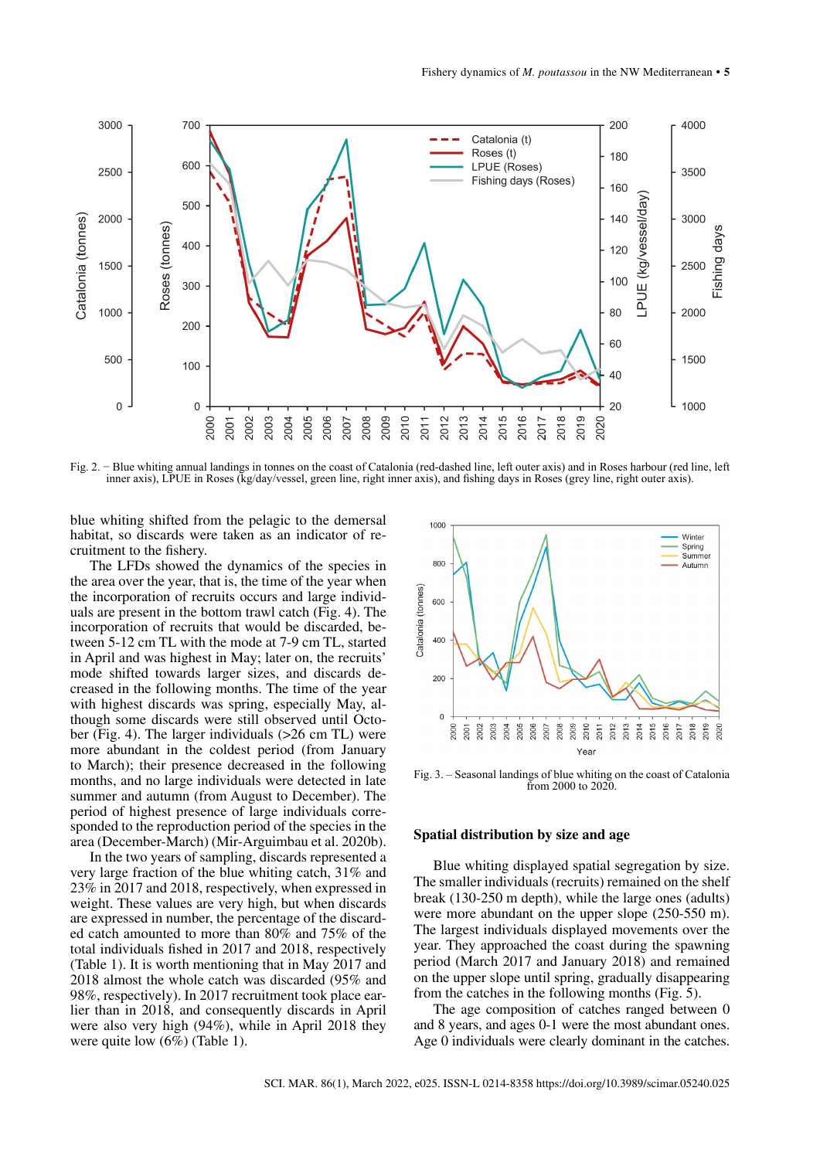

Fig. 2. − Blue whiting annual landings in tonnes on the coast of Catalonia (red-dashed line, left outer axis) and in Roses harbour (red line, left inner axis), LPUE in Roses (kg/day/vessel, green line, right inner axis), and fishing days in Roses (grey line, right outer axis).

blue whiting shifted from the pelagic to the demersal habitat, so discards were taken as an indicator of recruitment to the fishery.

The LFDs showed the dynamics of the species in the area over the year, that is, the time of the year when the incorporation of recruits occurs and large individuals are present in the bottom trawl catch (Fig. 4). The incorporation of recruits that would be discarded, between 5-12 cm TL with the mode at 7-9 cm TL, started in April and was highest in May; later on, the recruits' mode shifted towards larger sizes, and discards decreased in the following months. The time of the year with highest discards was spring, especially May, although some discards were still observed until October (Fig. 4). The larger individuals (>26 cm TL) were more abundant in the coldest period (from January to March); their presence decreased in the following months, and no large individuals were detected in late summer and autumn (from August to December). The period of highest presence of large individuals corresponded to the reproduction period of the species in the area (December-March) (Mir-Arguimbau et al. 2020b).

In the two years of sampling, discards represented a very large fraction of the blue whiting catch, 31% and 23% in 2017 and 2018, respectively, when expressed in weight. These values are very high, but when discards are expressed in number, the percentage of the discarded catch amounted to more than 80% and 75% of the total individuals fished in 2017 and 2018, respectively (Table 1). It is worth mentioning that in May 2017 and 2018 almost the whole catch was discarded (95% and 98%, respectively). In 2017 recruitment took place earlier than in 2018, and consequently discards in April were also very high (94%), while in April 2018 they were quite low  $(6\%)$  (Table 1).



Fig. 3. – Seasonal landings of blue whiting on the coast of Catalonia from 2000 to 2020.

## **Spatial distribution by size and age**

Blue whiting displayed spatial segregation by size. The smaller individuals (recruits) remained on the shelf break (130-250 m depth), while the large ones (adults) were more abundant on the upper slope (250-550 m). The largest individuals displayed movements over the year. They approached the coast during the spawning period (March 2017 and January 2018) and remained on the upper slope until spring, gradually disappearing from the catches in the following months (Fig. 5).

The age composition of catches ranged between 0 and 8 years, and ages 0-1 were the most abundant ones. Age 0 individuals were clearly dominant in the catches.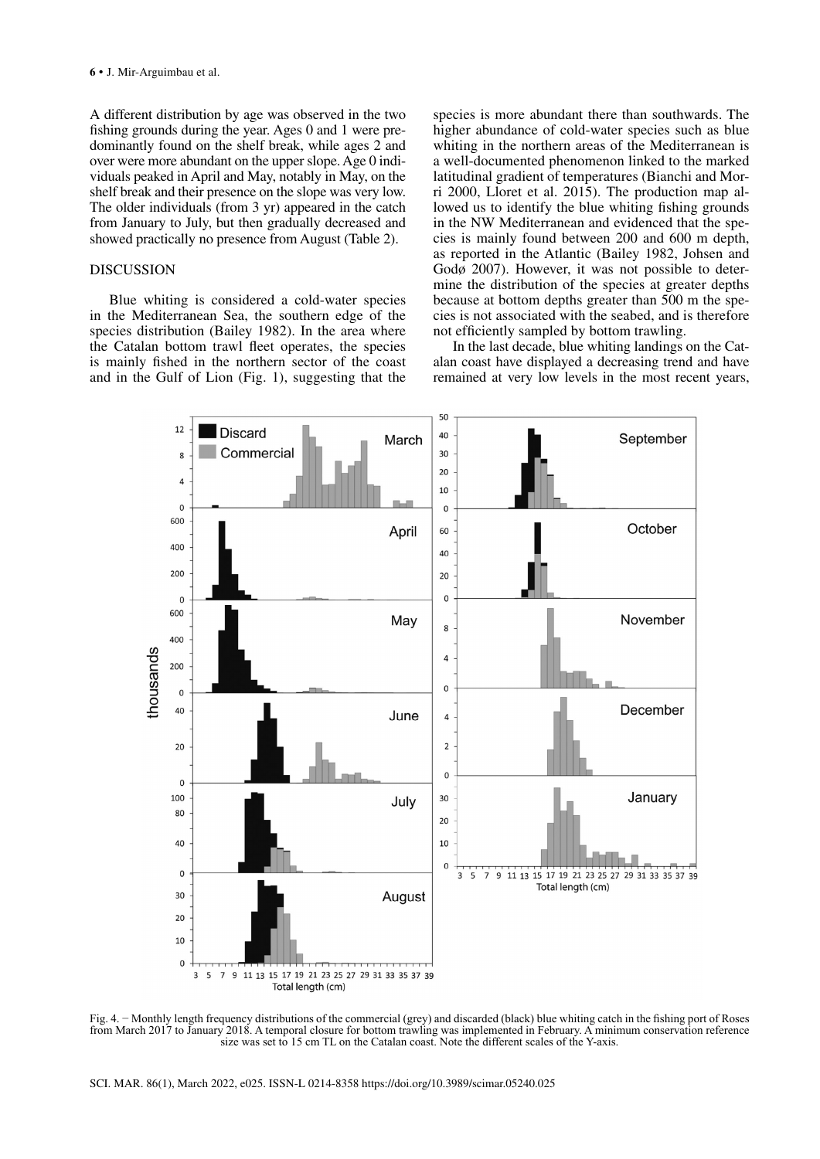A different distribution by age was observed in the two fishing grounds during the year. Ages 0 and 1 were predominantly found on the shelf break, while ages 2 and over were more abundant on the upper slope. Age 0 individuals peaked in April and May, notably in May, on the shelf break and their presence on the slope was very low. The older individuals (from 3 yr) appeared in the catch from January to July, but then gradually decreased and showed practically no presence from August (Table 2).

## DISCUSSION

Blue whiting is considered a cold-water species in the Mediterranean Sea, the southern edge of the species distribution (Bailey 1982). In the area where the Catalan bottom trawl fleet operates, the species is mainly fished in the northern sector of the coast and in the Gulf of Lion (Fig. 1), suggesting that the

species is more abundant there than southwards. The higher abundance of cold-water species such as blue whiting in the northern areas of the Mediterranean is a well-documented phenomenon linked to the marked latitudinal gradient of temperatures (Bianchi and Morri 2000, Lloret et al. 2015). The production map allowed us to identify the blue whiting fishing grounds in the NW Mediterranean and evidenced that the species is mainly found between 200 and 600 m depth, as reported in the Atlantic (Bailey 1982, Johsen and Godø 2007). However, it was not possible to determine the distribution of the species at greater depths because at bottom depths greater than 500 m the species is not associated with the seabed, and is therefore not efficiently sampled by bottom trawling.

In the last decade, blue whiting landings on the Catalan coast have displayed a decreasing trend and have remained at very low levels in the most recent years,



Fig. 4. − Monthly length frequency distributions of the commercial (grey) and discarded (black) blue whiting catch in the fishing port of Roses from March 2017 to January 2018. A temporal closure for bottom trawling was implemented in February. A minimum conservation reference size was set to 15 cm TL on the Catalan coast. Note the different scales of the Y-axis.

SCI. MAR. 86(1), March 2022, e025. ISSN-L 0214-8358 https://doi.org/10.3989/scimar.05240.025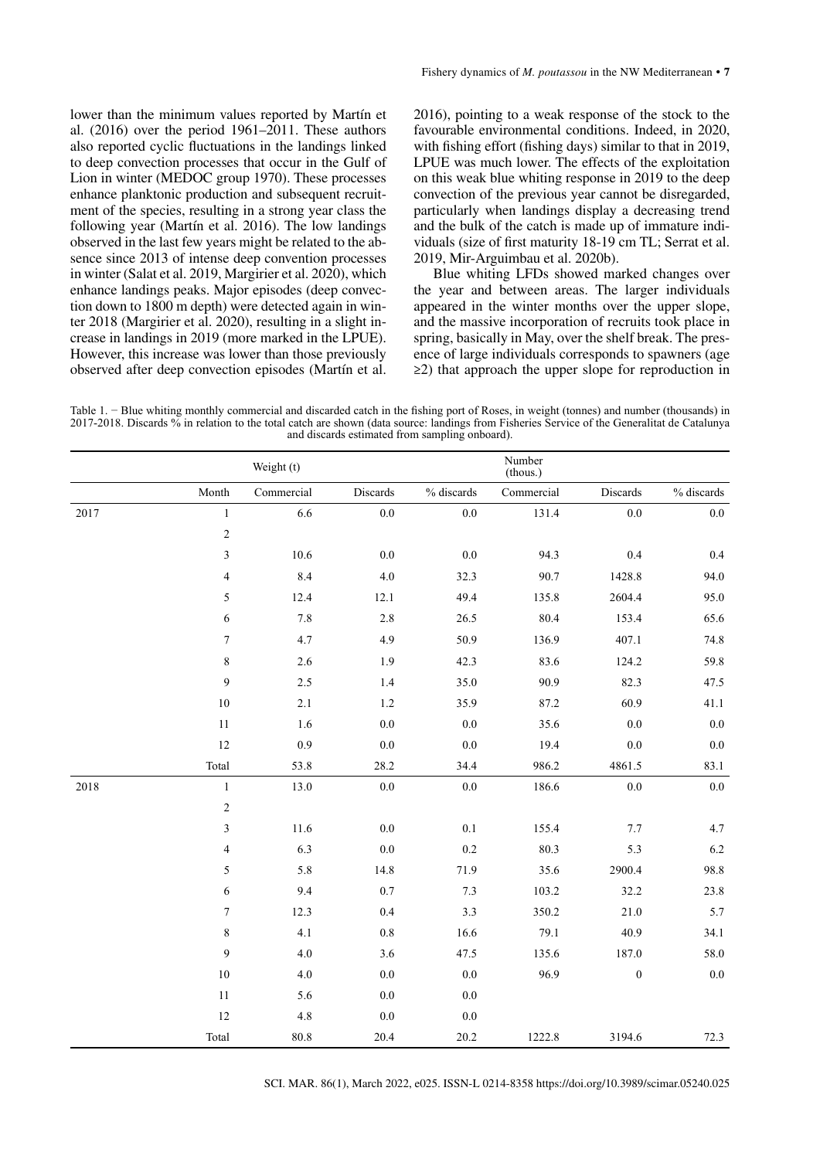lower than the minimum values reported by Martín et al. (2016) over the period 1961–2011. These authors also reported cyclic fluctuations in the landings linked to deep convection processes that occur in the Gulf of Lion in winter (MEDOC group 1970). These processes enhance planktonic production and subsequent recruitment of the species, resulting in a strong year class the following year (Martín et al. 2016). The low landings observed in the last few years might be related to the absence since 2013 of intense deep convention processes in winter (Salat et al. 2019, Margirier et al. 2020), which enhance landings peaks. Major episodes (deep convection down to 1800 m depth) were detected again in winter 2018 (Margirier et al. 2020), resulting in a slight increase in landings in 2019 (more marked in the LPUE). However, this increase was lower than those previously observed after deep convection episodes (Martín et al.

2016), pointing to a weak response of the stock to the favourable environmental conditions. Indeed, in 2020, with fishing effort (fishing days) similar to that in 2019. LPUE was much lower. The effects of the exploitation on this weak blue whiting response in 2019 to the deep convection of the previous year cannot be disregarded, particularly when landings display a decreasing trend and the bulk of the catch is made up of immature individuals (size of first maturity 18-19 cm TL; Serrat et al. 2019, Mir-Arguimbau et al. 2020b).

Blue whiting LFDs showed marked changes over the year and between areas. The larger individuals appeared in the winter months over the upper slope, and the massive incorporation of recruits took place in spring, basically in May, over the shelf break. The presence of large individuals corresponds to spawners (age ≥2) that approach the upper slope for reproduction in

Table 1. − Blue whiting monthly commercial and discarded catch in the fishing port of Roses, in weight (tonnes) and number (thousands) in 2017-2018. Discards % in relation to the total catch are shown (data source: landings from Fisheries Service of the Generalitat de Catalunya and discards estimated from sampling onboard).

|      |                  | Weight (t) |          | Number<br>(thous.) |            |                  |               |  |  |  |
|------|------------------|------------|----------|--------------------|------------|------------------|---------------|--|--|--|
|      | Month            | Commercial | Discards | % discards         | Commercial | Discards         | $\%$ discards |  |  |  |
| 2017 | $1\,$            | 6.6        | $0.0\,$  | $0.0\,$            | 131.4      | $0.0\,$          | $0.0\,$       |  |  |  |
|      | $\sqrt{2}$       |            |          |                    |            |                  |               |  |  |  |
|      | $\mathfrak{Z}$   | 10.6       | $0.0\,$  | $0.0\,$            | 94.3       | 0.4              | 0.4           |  |  |  |
|      | $\overline{4}$   | 8.4        | 4.0      | 32.3               | 90.7       | 1428.8           | 94.0          |  |  |  |
|      | 5                | 12.4       | 12.1     | 49.4               | 135.8      | 2604.4           | 95.0          |  |  |  |
|      | 6                | $7.8\,$    | $2.8\,$  | 26.5               | 80.4       | 153.4            | 65.6          |  |  |  |
|      | $\boldsymbol{7}$ | 4.7        | 4.9      | 50.9               | 136.9      | 407.1            | 74.8          |  |  |  |
|      | $\,8\,$          | 2.6        | 1.9      | 42.3               | 83.6       | 124.2            | 59.8          |  |  |  |
|      | 9                | $2.5\,$    | 1.4      | 35.0               | 90.9       | 82.3             | 47.5          |  |  |  |
|      | $10\,$           | 2.1        | 1.2      | 35.9               | 87.2       | 60.9             | 41.1          |  |  |  |
|      | $11\,$           | 1.6        | $0.0\,$  | $0.0\,$            | 35.6       | $0.0\,$          | $0.0\,$       |  |  |  |
|      | 12               | 0.9        | $0.0\,$  | $0.0\,$            | 19.4       | $0.0\,$          | $0.0\,$       |  |  |  |
|      | Total            | 53.8       | 28.2     | 34.4               | 986.2      | 4861.5           | 83.1          |  |  |  |
| 2018 | $\mathbf{1}$     | 13.0       | $0.0\,$  | $0.0\,$            | 186.6      | $0.0\,$          | $0.0\,$       |  |  |  |
|      | $\sqrt{2}$       |            |          |                    |            |                  |               |  |  |  |
|      | $\mathfrak{Z}$   | 11.6       | $0.0\,$  | 0.1                | 155.4      | 7.7              | 4.7           |  |  |  |
|      | $\overline{4}$   | 6.3        | $0.0\,$  | 0.2                | 80.3       | 5.3              | 6.2           |  |  |  |
|      | $\sqrt{5}$       | 5.8        | 14.8     | 71.9               | 35.6       | 2900.4           | 98.8          |  |  |  |
|      | $\sqrt{6}$       | 9.4        | 0.7      | $7.3\,$            | 103.2      | 32.2             | 23.8          |  |  |  |
|      | $\boldsymbol{7}$ | 12.3       | 0.4      | 3.3                | 350.2      | 21.0             | 5.7           |  |  |  |
|      | $\,8\,$          | 4.1        | 0.8      | 16.6               | 79.1       | 40.9             | 34.1          |  |  |  |
|      | 9                | $4.0\,$    | 3.6      | 47.5               | 135.6      | 187.0            | 58.0          |  |  |  |
|      | $10\,$           | $4.0\,$    | $0.0\,$  | $0.0\,$            | 96.9       | $\boldsymbol{0}$ | $0.0\,$       |  |  |  |
|      | $11\,$           | 5.6        | $0.0\,$  | $0.0\,$            |            |                  |               |  |  |  |
|      | 12               | 4.8        | $0.0\,$  | $0.0\,$            |            |                  |               |  |  |  |
|      | Total            | $80.8\,$   | 20.4     | 20.2               | 1222.8     | 3194.6           | 72.3          |  |  |  |

SCI. MAR. 86(1), March 2022, e025. ISSN-L 0214-8358 https://doi.org/10.3989/scimar.05240.025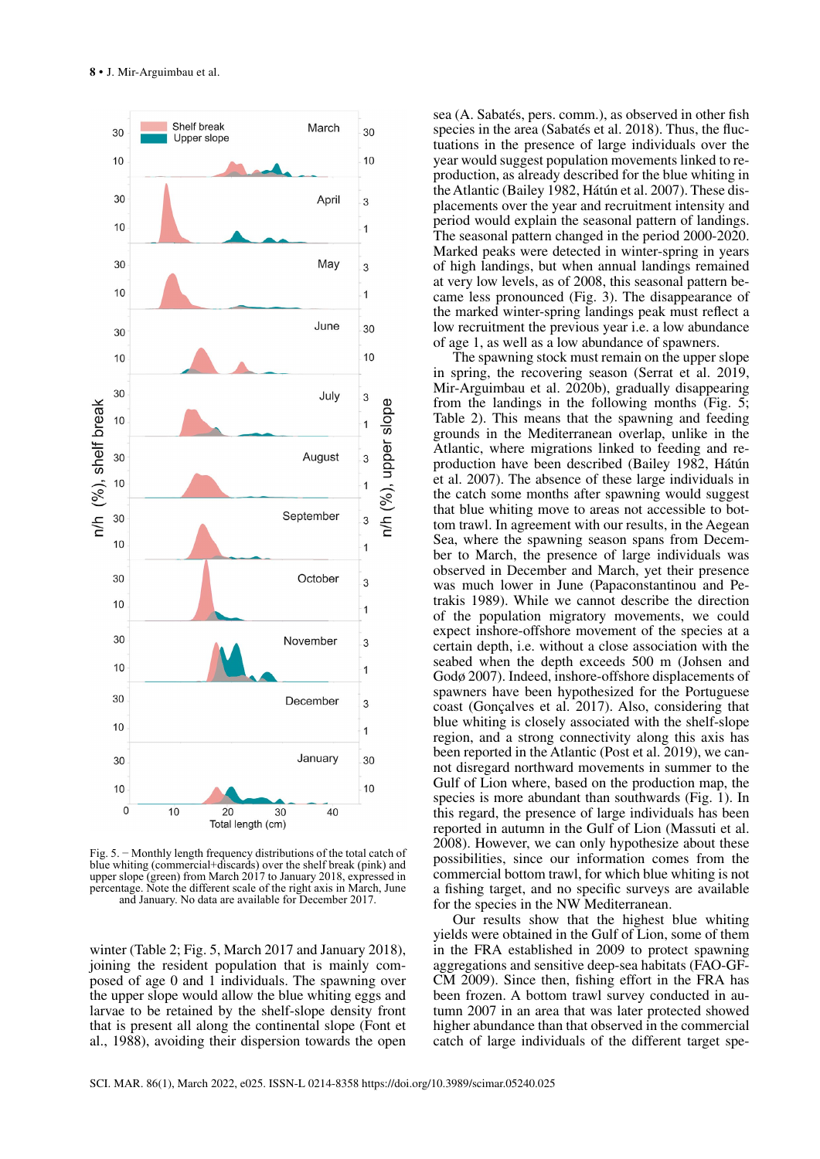

Fig. 5. − Monthly length frequency distributions of the total catch of blue whiting (commercial+discards) over the shelf break (pink) and upper slope (green) from March 2017 to January 2018, expressed in percentage. Note the different scale of the right axis in March, June and January. No data are available for December 2017.

winter (Table 2; Fig. 5, March 2017 and January 2018), joining the resident population that is mainly composed of age 0 and 1 individuals. The spawning over the upper slope would allow the blue whiting eggs and larvae to be retained by the shelf-slope density front that is present all along the continental slope (Font et al., 1988), avoiding their dispersion towards the open

sea (A. Sabatés, pers. comm.), as observed in other fish species in the area (Sabatés et al. 2018). Thus, the fluctuations in the presence of large individuals over the year would suggest population movements linked to reproduction, as already described for the blue whiting in the Atlantic (Bailey 1982, Hátún et al. 2007). These displacements over the year and recruitment intensity and period would explain the seasonal pattern of landings. The seasonal pattern changed in the period 2000-2020. Marked peaks were detected in winter-spring in years of high landings, but when annual landings remained at very low levels, as of 2008, this seasonal pattern became less pronounced (Fig. 3). The disappearance of the marked winter-spring landings peak must reflect a low recruitment the previous year i.e. a low abundance of age 1, as well as a low abundance of spawners.

The spawning stock must remain on the upper slope in spring, the recovering season (Serrat et al. 2019, Mir-Arguimbau et al. 2020b), gradually disappearing from the landings in the following months (Fig. 5; Table 2). This means that the spawning and feeding grounds in the Mediterranean overlap, unlike in the Atlantic, where migrations linked to feeding and reproduction have been described (Bailey 1982, Hátún et al. 2007). The absence of these large individuals in the catch some months after spawning would suggest that blue whiting move to areas not accessible to bottom trawl. In agreement with our results, in the Aegean Sea, where the spawning season spans from December to March, the presence of large individuals was observed in December and March, yet their presence was much lower in June (Papaconstantinou and Petrakis 1989). While we cannot describe the direction of the population migratory movements, we could expect inshore-offshore movement of the species at a certain depth, i.e. without a close association with the seabed when the depth exceeds 500 m (Johsen and Godø 2007). Indeed, inshore-offshore displacements of spawners have been hypothesized for the Portuguese coast (Gonçalves et al. 2017). Also, considering that blue whiting is closely associated with the shelf-slope region, and a strong connectivity along this axis has been reported in the Atlantic (Post et al. 2019), we cannot disregard northward movements in summer to the Gulf of Lion where, based on the production map, the species is more abundant than southwards (Fig. 1). In this regard, the presence of large individuals has been reported in autumn in the Gulf of Lion (Massuti et al. 2008). However, we can only hypothesize about these possibilities, since our information comes from the commercial bottom trawl, for which blue whiting is not a fishing target, and no specific surveys are available for the species in the NW Mediterranean.

Our results show that the highest blue whiting yields were obtained in the Gulf of Lion, some of them in the FRA established in 2009 to protect spawning aggregations and sensitive deep-sea habitats (FAO-GF-CM 2009). Since then, fishing effort in the FRA has been frozen. A bottom trawl survey conducted in autumn 2007 in an area that was later protected showed higher abundance than that observed in the commercial catch of large individuals of the different target spe-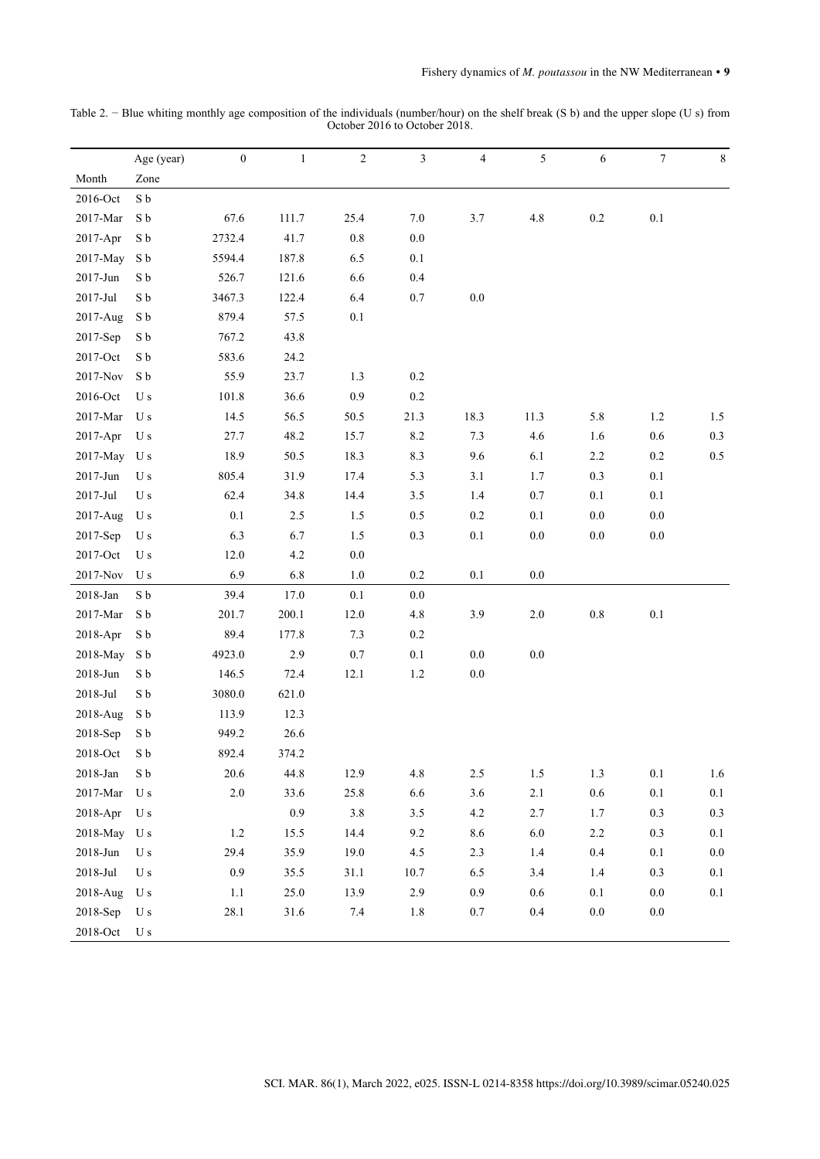|                     | Age (year)    | $\boldsymbol{0}$ | $\mathbf{1}$ | $\sqrt{2}$ | $\mathfrak{Z}$ | 4       | $\sqrt{5}$ | $\boldsymbol{6}$ | $\boldsymbol{7}$ | $\,8\,$ |
|---------------------|---------------|------------------|--------------|------------|----------------|---------|------------|------------------|------------------|---------|
| Month               | Zone          |                  |              |            |                |         |            |                  |                  |         |
| 2016-Oct            | ${\bf S}$ b   |                  |              |            |                |         |            |                  |                  |         |
| 2017-Mar            | ${\bf S}$ b   | 67.6             | 111.7        | 25.4       | $7.0\,$        | 3.7     | $4.8\,$    | $0.2\,$          | $0.1\,$          |         |
| $2017 - Apr$        | S b           | 2732.4           | 41.7         | $0.8\,$    | $0.0\,$        |         |            |                  |                  |         |
| 2017-May            | ${\bf S}$ b   | 5594.4           | 187.8        | 6.5        | $0.1\,$        |         |            |                  |                  |         |
| 2017-Jun            | ${\bf S}$ b   | 526.7            | 121.6        | 6.6        | 0.4            |         |            |                  |                  |         |
| 2017-Jul            | ${\bf S}$ b   | 3467.3           | 122.4        | 6.4        | 0.7            | 0.0     |            |                  |                  |         |
| 2017-Aug            | ${\bf S}$ b   | 879.4            | 57.5         | $0.1\,$    |                |         |            |                  |                  |         |
| 2017-Sep            | S b           | 767.2            | 43.8         |            |                |         |            |                  |                  |         |
| 2017-Oct            | S b           | 583.6            | 24.2         |            |                |         |            |                  |                  |         |
| 2017-Nov            | S b           | 55.9             | 23.7         | 1.3        | $0.2\,$        |         |            |                  |                  |         |
| 2016-Oct            | U s           | 101.8            | 36.6         | 0.9        | $0.2\,$        |         |            |                  |                  |         |
| $2017$ -Mar         | U s           | 14.5             | 56.5         | 50.5       | 21.3           | 18.3    | 11.3       | $5.8\,$          | 1.2              | $1.5\,$ |
| 2017-Apr            | U s           | 27.7             | 48.2         | 15.7       | $8.2\,$        | $7.3$   | 4.6        | 1.6              | $0.6\,$          | 0.3     |
| 2017-May            | U s           | 18.9             | 50.5         | 18.3       | 8.3            | 9.6     | 6.1        | 2.2              | $0.2\,$          | $0.5\,$ |
| 2017-Jun            | U s           | 805.4            | 31.9         | 17.4       | 5.3            | 3.1     | $1.7\,$    | $0.3\,$          | $0.1\,$          |         |
| 2017-Jul            | U s           | 62.4             | 34.8         | 14.4       | 3.5            | 1.4     | $0.7\,$    | $0.1\,$          | $0.1\,$          |         |
| 2017-Aug            | U s           | $0.1\,$          | 2.5          | 1.5        | $0.5\,$        | $0.2\,$ | $0.1\,$    | $0.0\,$          | $0.0\,$          |         |
| 2017-Sep            | U s           | 6.3              | 6.7          | 1.5        | 0.3            | $0.1\,$ | $0.0\,$    | $0.0\,$          | $0.0\,$          |         |
| 2017-Oct            | U s           | 12.0             | $4.2\,$      | $0.0\,$    |                |         |            |                  |                  |         |
| 2017-Nov            | U s           | 6.9              | 6.8          | $1.0\,$    | $0.2\,$        | $0.1\,$ | $0.0\,$    |                  |                  |         |
| 2018-Jan            | ${\bf S}$ b   | 39.4             | 17.0         | $0.1\,$    | $0.0\,$        |         |            |                  |                  |         |
| 2017-Mar            | ${\bf S}$ b   | 201.7            | 200.1        | 12.0       | 4.8            | 3.9     | $2.0\,$    | $0.8\,$          | $0.1\,$          |         |
| 2018-Apr            | S b           | 89.4             | 177.8        | 7.3        | $0.2\,$        |         |            |                  |                  |         |
| 2018-May            | S b           | 4923.0           | 2.9          | 0.7        | $0.1\,$        | $0.0\,$ | $0.0\,$    |                  |                  |         |
| 2018-Jun            | ${\bf S}$ b   | 146.5            | 72.4         | 12.1       | 1.2            | $0.0\,$ |            |                  |                  |         |
| $2018 - \text{Jul}$ | ${\bf S}$ b   | 3080.0           | 621.0        |            |                |         |            |                  |                  |         |
| 2018-Aug            | S b           | 113.9            | 12.3         |            |                |         |            |                  |                  |         |
| 2018-Sep            | ${\bf S}$ b   | 949.2            | 26.6         |            |                |         |            |                  |                  |         |
| $2018$ -Oct         | ${\bf S}$ b   | 892.4            | 374.2        |            |                |         |            |                  |                  |         |
| 2018-Jan            | ${\bf S}$ b   | 20.6             | 44.8         | 12.9       | 4.8            | $2.5\,$ | $1.5\,$    | $1.3$            | $0.1\,$          | 1.6     |
| 2017-Mar            | U s           | $2.0\,$          | 33.6         | 25.8       | 6.6            | $3.6\,$ | $2.1\,$    | $0.6\,$          | $0.1\,$          | $0.1\,$ |
| 2018-Apr            | U s           |                  | $0.9\,$      | 3.8        | $3.5$          | $4.2\,$ | 2.7        | 1.7              | $0.3\,$          | $0.3\,$ |
| 2018-May            | U s           | $1.2\,$          | 15.5         | 14.4       | 9.2            | 8.6     | $6.0\,$    | $2.2\,$          | $0.3\,$          | $0.1\,$ |
| $2018$ -Jun         | U s           | 29.4             | 35.9         | 19.0       | 4.5            | 2.3     | $1.4\,$    | $0.4\,$          | $0.1\,$          | $0.0\,$ |
| $2018$ -Jul         | U s           | $0.9\,$          | 35.5         | 31.1       | 10.7           | 6.5     | 3.4        | $1.4$            | $0.3\,$          | $0.1\,$ |
| 2018-Aug            | U s           | $1.1\,$          | 25.0         | 13.9       | 2.9            | $0.9\,$ | $0.6\,$    | $0.1\,$          | $0.0\,$          | $0.1\,$ |
| 2018-Sep            | U s           | 28.1             | 31.6         | $7.4\,$    | 1.8            | $0.7\,$ | $0.4\,$    | $0.0\,$          | $0.0\,$          |         |
| 2018-Oct            | $\mathbf U$ s |                  |              |            |                |         |            |                  |                  |         |

Table 2. − Blue whiting monthly age composition of the individuals (number/hour) on the shelf break (S b) and the upper slope (U s) from October 2016 to October 2018.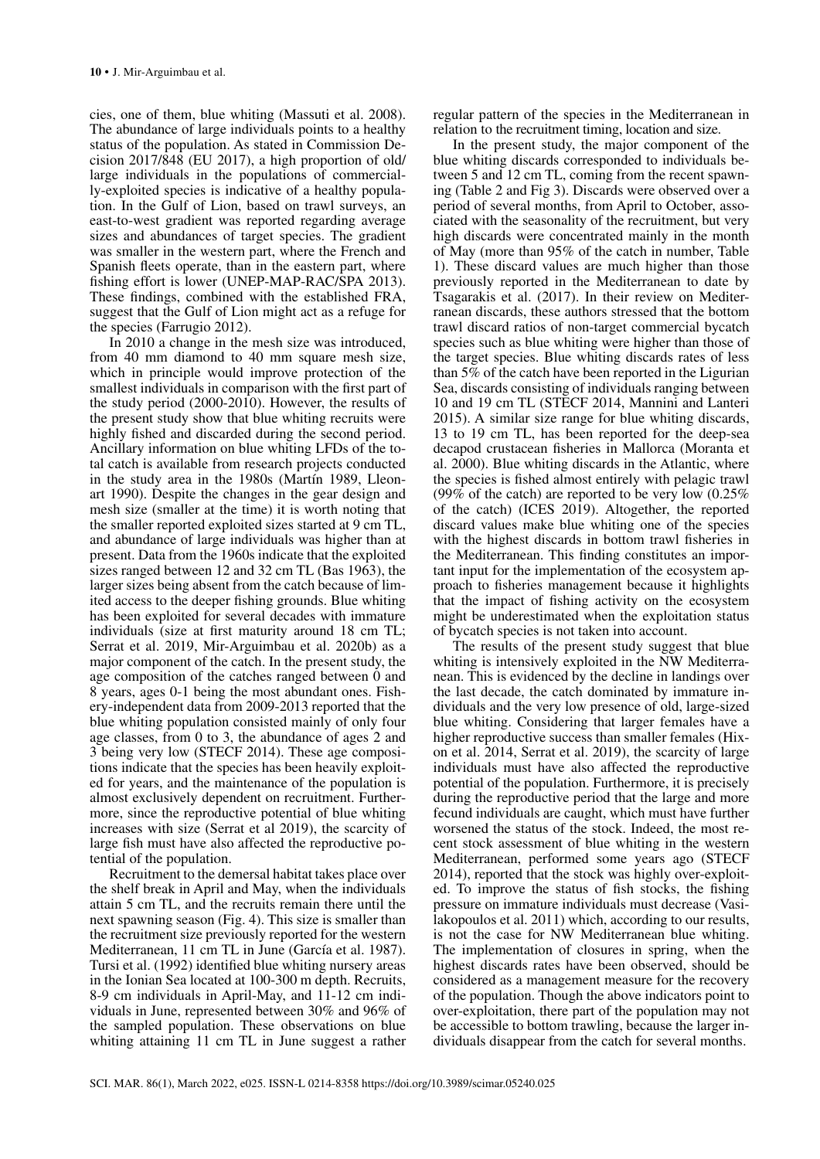cies, one of them, blue whiting (Massuti et al. 2008). The abundance of large individuals points to a healthy status of the population. As stated in Commission Decision 2017/848 (EU 2017), a high proportion of old/ large individuals in the populations of commercially-exploited species is indicative of a healthy population. In the Gulf of Lion, based on trawl surveys, an east-to-west gradient was reported regarding average sizes and abundances of target species. The gradient was smaller in the western part, where the French and Spanish fleets operate, than in the eastern part, where fishing effort is lower (UNEP-MAP-RAC/SPA 2013). These findings, combined with the established FRA, suggest that the Gulf of Lion might act as a refuge for the species (Farrugio 2012).

In 2010 a change in the mesh size was introduced, from 40 mm diamond to 40 mm square mesh size, which in principle would improve protection of the smallest individuals in comparison with the first part of the study period (2000-2010). However, the results of the present study show that blue whiting recruits were highly fished and discarded during the second period. Ancillary information on blue whiting LFDs of the total catch is available from research projects conducted in the study area in the 1980s (Martín 1989, Lleonart 1990). Despite the changes in the gear design and mesh size (smaller at the time) it is worth noting that the smaller reported exploited sizes started at 9 cm TL, and abundance of large individuals was higher than at present. Data from the 1960s indicate that the exploited sizes ranged between 12 and 32 cm TL (Bas 1963), the larger sizes being absent from the catch because of limited access to the deeper fishing grounds. Blue whiting has been exploited for several decades with immature individuals (size at first maturity around 18 cm TL; Serrat et al. 2019, Mir-Arguimbau et al. 2020b) as a major component of the catch. In the present study, the age composition of the catches ranged between 0 and 8 years, ages 0-1 being the most abundant ones. Fishery-independent data from 2009-2013 reported that the blue whiting population consisted mainly of only four age classes, from 0 to 3, the abundance of ages 2 and 3 being very low (STECF 2014). These age compositions indicate that the species has been heavily exploited for years, and the maintenance of the population is almost exclusively dependent on recruitment. Furthermore, since the reproductive potential of blue whiting increases with size (Serrat et al 2019), the scarcity of large fish must have also affected the reproductive potential of the population.

Recruitment to the demersal habitat takes place over the shelf break in April and May, when the individuals attain 5 cm TL, and the recruits remain there until the next spawning season (Fig. 4). This size is smaller than the recruitment size previously reported for the western Mediterranean, 11 cm TL in June (García et al. 1987). Tursi et al. (1992) identified blue whiting nursery areas in the Ionian Sea located at 100-300 m depth. Recruits, 8-9 cm individuals in April-May, and 11-12 cm individuals in June, represented between 30% and 96% of the sampled population. These observations on blue whiting attaining 11 cm TL in June suggest a rather

regular pattern of the species in the Mediterranean in relation to the recruitment timing, location and size.

In the present study, the major component of the blue whiting discards corresponded to individuals between 5 and 12 cm TL, coming from the recent spawning (Table 2 and Fig 3). Discards were observed over a period of several months, from April to October, associated with the seasonality of the recruitment, but very high discards were concentrated mainly in the month of May (more than 95% of the catch in number, Table 1). These discard values are much higher than those previously reported in the Mediterranean to date by Tsagarakis et al. (2017). In their review on Mediterranean discards, these authors stressed that the bottom trawl discard ratios of non-target commercial bycatch species such as blue whiting were higher than those of the target species. Blue whiting discards rates of less than 5% of the catch have been reported in the Ligurian Sea, discards consisting of individuals ranging between 10 and 19 cm TL (STECF 2014, Mannini and Lanteri 2015). A similar size range for blue whiting discards, 13 to 19 cm TL, has been reported for the deep-sea decapod crustacean fisheries in Mallorca (Moranta et al. 2000). Blue whiting discards in the Atlantic, where the species is fished almost entirely with pelagic trawl (99% of the catch) are reported to be very low (0.25% of the catch) (ICES 2019). Altogether, the reported discard values make blue whiting one of the species with the highest discards in bottom trawl fisheries in the Mediterranean. This finding constitutes an important input for the implementation of the ecosystem approach to fisheries management because it highlights that the impact of fishing activity on the ecosystem might be underestimated when the exploitation status of bycatch species is not taken into account.

The results of the present study suggest that blue whiting is intensively exploited in the NW Mediterranean. This is evidenced by the decline in landings over the last decade, the catch dominated by immature individuals and the very low presence of old, large-sized blue whiting. Considering that larger females have a higher reproductive success than smaller females (Hixon et al. 2014, Serrat et al. 2019), the scarcity of large individuals must have also affected the reproductive potential of the population. Furthermore, it is precisely during the reproductive period that the large and more fecund individuals are caught, which must have further worsened the status of the stock. Indeed, the most recent stock assessment of blue whiting in the western Mediterranean, performed some years ago (STECF 2014), reported that the stock was highly over-exploited. To improve the status of fish stocks, the fishing pressure on immature individuals must decrease (Vasilakopoulos et al. 2011) which, according to our results, is not the case for NW Mediterranean blue whiting. The implementation of closures in spring, when the highest discards rates have been observed, should be considered as a management measure for the recovery of the population. Though the above indicators point to over-exploitation, there part of the population may not be accessible to bottom trawling, because the larger individuals disappear from the catch for several months.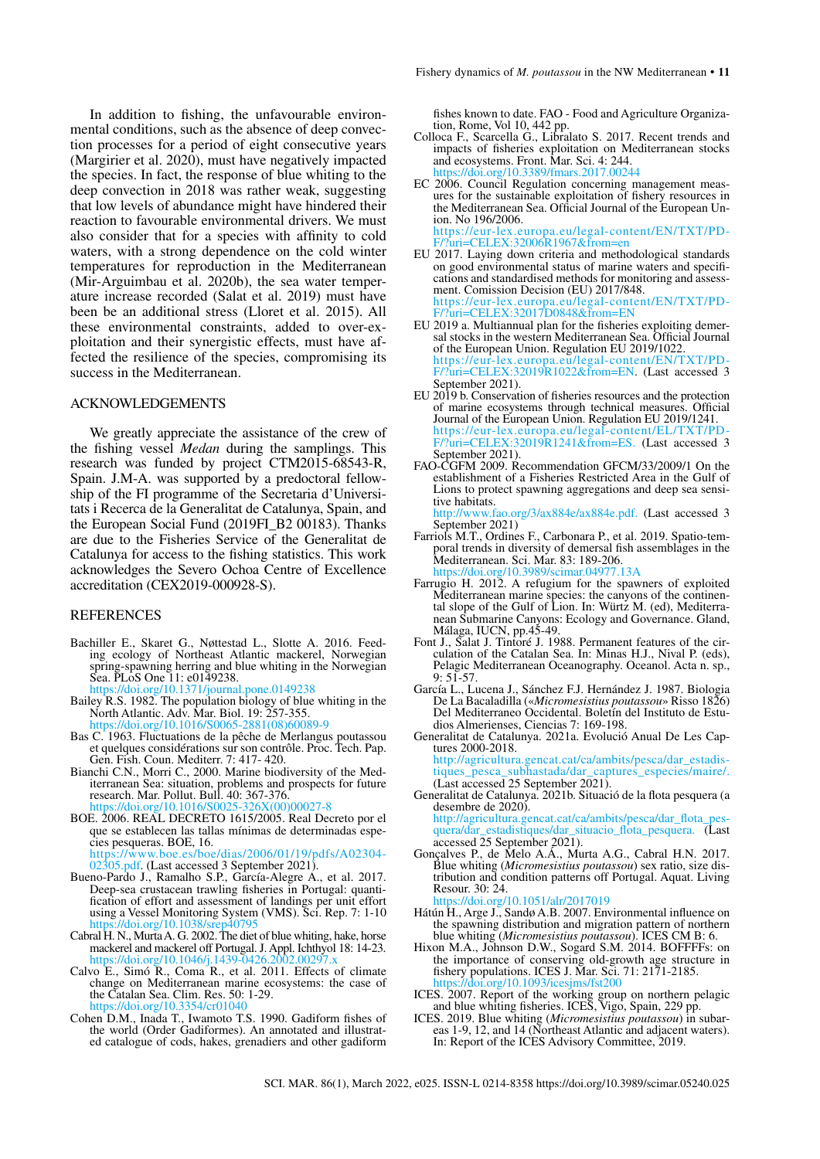In addition to fishing, the unfavourable environmental conditions, such as the absence of deep convection processes for a period of eight consecutive years (Margirier et al. 2020), must have negatively impacted the species. In fact, the response of blue whiting to the deep convection in 2018 was rather weak, suggesting that low levels of abundance might have hindered their reaction to favourable environmental drivers. We must also consider that for a species with affinity to cold waters, with a strong dependence on the cold winter temperatures for reproduction in the Mediterranean (Mir-Arguimbau et al. 2020b), the sea water temperature increase recorded (Salat et al. 2019) must have been be an additional stress (Lloret et al. 2015). All these environmental constraints, added to over-exploitation and their synergistic effects, must have affected the resilience of the species, compromising its success in the Mediterranean.

### ACKNOWLEDGEMENTS

We greatly appreciate the assistance of the crew of the fishing vessel *Medan* during the samplings. This research was funded by project CTM2015-68543-R, Spain. J.M-A. was supported by a predoctoral fellowship of the FI programme of the Secretaria d'Universitats i Recerca de la Generalitat de Catalunya, Spain, and the European Social Fund (2019FI\_B2 00183). Thanks are due to the Fisheries Service of the Generalitat de Catalunya for access to the fishing statistics. This work acknowledges the Severo Ochoa Centre of Excellence accreditation (CEX2019-000928-S).

#### REFERENCES

Bachiller E., Skaret G., Nøttestad L., Slotte A. 2016. Feed- ing ecology of Northeast Atlantic mackerel, Norwegian spring-spawning herring and blue whiting in the Norwegian Sea. PLoS One 11: e0149238.

<https://doi.org/10.1371/journal.pone.0149238>

- Bailey R.S. 1982. The population biology of blue whiting in the North Atlantic. Adv. Mar. Biol. 19: 257-355. [https://doi.org/10.1016/S0065-2881\(08\)60089-9](https://doi.org/10.1016/S0065-2881(08)60089-9)
- Bas C. 1963. Fluctuations de la pêche de Merlangus poutassou et quelques considérations sur son contrôle. Proc. Tech. Pap. Gen. Fish. Coun. Mediterr. 7: 417- 420.
- Bianchi C.N., Morri C., 2000. Marine biodiversity of the Med- iterranean Sea: situation, problems and prospects for future research. Mar. Pollut. Bull. 40: 367-376. [https://doi.org/10.1016/S0025-326X\(00\)00027-8](https://doi.org/10.1016/S0025-326X(00)00027-8)
- BOE. 2006. REAL DECRETO 1615/2005. Real Decreto por el que se establecen las tallas mínimas de determinadas espe-<br>cies pesqueras. BOE, 16.<br>https://www.boe.es/boe/dias/2006/01/19/pdfs/A02304-

02305.pdf. (Last accessed 3 September 2021).

- Bueno-Pardo J., Ramalho S.P., García-Alegre A., et al. 2017. Deep-sea crustacean trawling fisheries in Portugal: quanti- fication of effort and assessment of landings per unit effort using a Vessel Monitoring System (VMS). Sci. Rep. 7: 1-10 <https://doi.org/10.1038/srep40795>
- Cabral H. N., Murta A. G. 2002. The diet of blue whiting, hake, horse mackerel and mackerel off Portugal. J. Appl. Ichthyol 18: 14-23. <https://doi.org/10.1046/j.1439-0426.2002.00297.x>
- Calvo E., Simó R., Coma R., et al. 2011. Effects of climate change on Mediterranean marine ecosystems: the case of the Catalan Sea. Clim. Res. 50: 1-29. <https://doi.org/10.3354/cr01040>
- Cohen D.M., Inada T., Iwamoto T.S. 1990. Gadiform fishes of the world (Order Gadiformes). An annotated and illustrat- ed catalogue of cods, hakes, grenadiers and other gadiform

fishes known to date. FAO - Food and Agriculture Organiza- tion, Rome, Vol 10, 442 pp.

- Colloca F., Scarcella G., Libralato S. 2017. Recent trends and impacts of fisheries exploitation on Mediterranean stocks and ecosystems. Front. Mar. Sci. 4: 244. rps://doi.org/10.3389/fmars.2017.00244
- EC 2006. Council Regulation concerning management meas- ures for the sustainable exploitation of fishery resources in the Mediterranean Sea. Official Journal of the European Un- ion. No 196/2006. [https://eur-lex.europa.eu/legal-content/EN/TXT/PD-](https://eur-lex.europa.eu/legal-content/EN/TXT/PDF/?uri=CELEX:32006R1967&from=en) [F/?uri=CELEX:32006R1967&from=en](https://eur-lex.europa.eu/legal-content/EN/TXT/PDF/?uri=CELEX:32006R1967&from=en)

EU 2017. Laying down criteria and methodological standards cations and standardised methods for monitoring and assessment. Comission Decision (EU) 2017/848. [https://eur-lex.europa.eu/legal-content/EN/TXT/PD-](https://eur-lex.europa.eu/legal-content/EN/TXT/PDF/?uri=CELEX:32017D0848&from=EN)<br>[F/?uri=CELEX:32017D0848&from=EN](https://eur-lex.europa.eu/legal-content/EN/TXT/PDF/?uri=CELEX:32017D0848&from=EN)<br>EU 2019 a. Multiannual plan for the fisheries exploiting demer-

- EU 2019 a. Multimannum plan for the fisheries exploring defined sal stocks in the western Mediterranean Sea. Official Journal of the European Union. Regulation EU 2019/1022. [https://eur-lex.europa.eu/legal-content/EN/TXT/PD-](https://eur-lex.europa.eu/legal-content/EN/TXT/PDF/?uri=CELEX:32019R1022&from=EN)<br>[F/?uri=CELEX:32019R1022&from=EN.](https://eur-lex.europa.eu/legal-content/EN/TXT/PDF/?uri=CELEX:32019R1022&from=EN) (Last accessed 3 September 2021).
- EU 2019 b. Conservation of fisheries resources and the protection of marine ecosystems through technical measures. Official Journal of the European Union. Regulation EU 2019/1241. [https://eur-lex.europa.eu/legal-content/EL/TXT/PD-](https://eur-lex.europa.eu/legal-content/EL/TXT/PDF/?uri=CELEX)<br>[F/?uri=CELEX](https://eur-lex.europa.eu/legal-content/EL/TXT/PDF/?uri=CELEX):32019R1241&from=ES. (Last accessed 3 September 2021).
- FAO-CGFM 2009. Recommendation GFCM/33/2009/1 On the establishment of a Fisheries Restricted Area in the Gulf of Lions to protect spawning aggregations and deep sea sensi-<br>tive habitats.<br>http://www.fao.org/3/ax884e/ax884e.pdf. (Last accessed 3

.org/3/ax884e/ax884e.pdf. (Last accessed 3 September 2021)<br>Farriols M.T., Ordines F., Carbonara P., et al. 2019. Spatio-tem-

- poral trends in diversity of demersal fish assemblages in the Mediterranean. Sci. Mar. 83: 189-206.<br>https://doi.org/10.3989/scimar.04977.13A <https://doi.org/10.3989/scimar.04977.13A>
- Farrugio H. 2012. A refugium for the spawners of exploited Mediterranean marine species: the canyons of the continental slope of the Gulf of Lion. In: Würtz M. (ed), Mediterranean Submarine Canyons: Ecology and Governance. Gland, Málaga, IUCN, pp.45-49.
- Font J., Salat J. Tintoré J. 1988. Permanent features of the cir- culation of the Catalan Sea. In: Minas H.J., Nival P. (eds), Pelagic Mediterranean Oceanography. Oceanol. Acta n. sp., 9: 51-57.
- García L., Lucena J., Sánchez F.J. Hernández J. 1987. Biologia De La Bacaladilla («*Micromesistius poutassou*» Risso 1826) Del Mediterraneo Occidental. Boletín del Instituto de Estu- dios Almerienses, Ciencias 7: 169-198.
- Generalitat de Catalunya. 2021a. Evolució Anual De Les Cap-<br>tures 2000-2018.<br>http://agricultura.gencat.cat/ca/ambits/pesca/dar\_estadis-

[tiques\\_pesca\\_subhastada/dar\\_captures\\_especies/maire/.](http://agricultura.gencat.cat/ca/ambits/pesca/dar_estadistiques_pesca_subhastada/dar_captures_especies/maire/)<br>[\(Last accessed 25 September 2021\).](http://agricultura.gencat.cat/ca/ambits/pesca/dar_estadistiques_pesca_subhastada/dar_captures_especies/maire/)

Generalitat de Catalunya. 2021b. Situació de la flota pesquera (a desembre de 2020).<br>http://agricultura.gencat.cat/ca/ambits/pesca/dar\_flota\_

quera/dar estadistiques/dar situacio flota pesquera. (Last accessed 25 September 2021). Gonçalves P., de Melo A.Á., Murta A.G., Cabral H.N. 2017.

Blue whiting (*Micromesistius poutassou*) sex ratio, size dis- tribution and condition patterns off Portugal. Aquat. Living Resour. 30: 24.<br>https://doi.org/

10.1051/alr/2017019

- Hátún H., Arge J., Sandø A.B. 2007. Environmental influence on the spawning distribution and migration pattern of northern blue whiting (*Micromesistius poutassou*). ICES CM B: 6.
- Hixon M.A., Johnson D.W., Sogard S.M. 2014. BOFFFFs: on the importance of conserving old-growth age structure in fishery populations. ICES J. Mar. Sci. 71: 2171-2185. <https://doi.org/10.1093/icesjms/fst200>
- ICES. 2007. Report of the working group on northern pelagic and blue whiting fisheries. ICES, Vigo, Spain, 229 pp.
- ICES. 2019. Blue whiting (*Micromesistius poutassou*) in subar- eas 1-9, 12, and 14 (Northeast Atlantic and adjacent waters). In: Report of the ICES Advisory Committee, 2019.